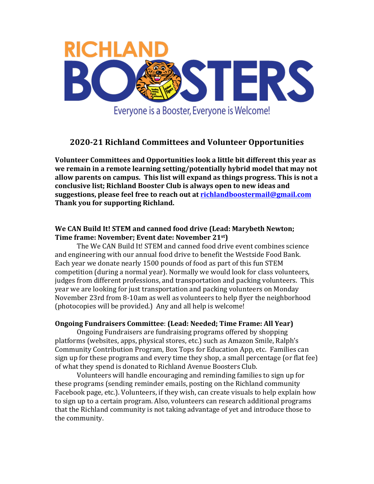

# **2020-21 Richland Committees and Volunteer Opportunities**

**Volunteer Committees and Opportunities look a little bit different this year as** we remain in a remote learning setting/potentially hybrid model that may not allow parents on campus. This list will expand as things progress. This is not a conclusive list; Richland Booster Club is always open to new ideas and **suggestions, please feel free to reach out at richlandboostermail@gmail.com Thank you for supporting Richland.** 

# We CAN Build It! STEM and canned food drive (Lead: Marybeth Newton; **Time frame: November; Event date: November 21st)**

The We CAN Build It! STEM and canned food drive event combines science and engineering with our annual food drive to benefit the Westside Food Bank. Each year we donate nearly 1500 pounds of food as part of this fun STEM competition (during a normal year). Normally we would look for class volunteers, judges from different professions, and transportation and packing volunteers. This year we are looking for just transportation and packing volunteers on Monday November 23rd from 8-10am as well as volunteers to help flyer the neighborhood (photocopies will be provided.) Any and all help is welcome!

#### **Ongoing Fundraisers Committee: (Lead: Needed; Time Frame: All Year)**

Ongoing Fundraisers are fundraising programs offered by shopping platforms (websites, apps, physical stores, etc.) such as Amazon Smile, Ralph's Community Contribution Program, Box Tops for Education App, etc. Families can sign up for these programs and every time they shop, a small percentage (or flat fee) of what they spend is donated to Richland Avenue Boosters Club.

Volunteers will handle encouraging and reminding families to sign up for these programs (sending reminder emails, posting on the Richland community Facebook page, etc.). Volunteers, if they wish, can create visuals to help explain how to sign up to a certain program. Also, volunteers can research additional programs that the Richland community is not taking advantage of yet and introduce those to the community.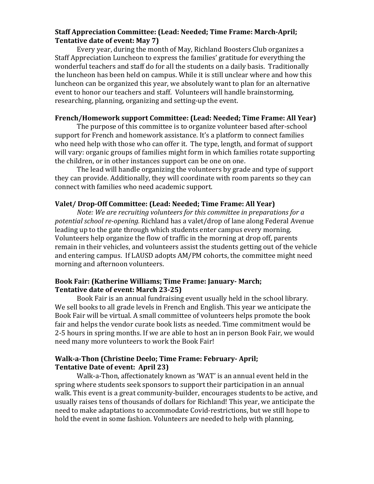#### **Staff Appreciation Committee: (Lead: Needed; Time Frame: March-April; Tentative date of event: May 7)**

Every year, during the month of May, Richland Boosters Club organizes a Staff Appreciation Luncheon to express the families' gratitude for everything the wonderful teachers and staff do for all the students on a daily basis. Traditionally the luncheon has been held on campus. While it is still unclear where and how this luncheon can be organized this year, we absolutely want to plan for an alternative event to honor our teachers and staff. Volunteers will handle brainstorming, researching, planning, organizing and setting-up the event.

### **French/Homework support Committee: (Lead: Needed; Time Frame: All Year)**

The purpose of this committee is to organize volunteer based after-school support for French and homework assistance. It's a platform to connect families who need help with those who can offer it. The type, length, and format of support will vary: organic groups of families might form in which families rotate supporting the children, or in other instances support can be one on one.

The lead will handle organizing the volunteers by grade and type of support they can provide. Additionally, they will coordinate with room parents so they can connect with families who need academic support.

## **Valet/** Drop-Off Committee: (Lead: Needed; Time Frame: All Year)

*Note:* We are recruiting volunteers for this committee in preparations for a potential school re-opening. Richland has a valet/drop of lane along Federal Avenue leading up to the gate through which students enter campus every morning. Volunteers help organize the flow of traffic in the morning at drop off, parents remain in their vehicles, and volunteers assist the students getting out of the vehicle and entering campus. If LAUSD adopts AM/PM cohorts, the committee might need morning and afternoon volunteers.

#### **Book Fair: (Katherine Williams; Time Frame: January- March; Tentative date of event: March 23-25)**

Book Fair is an annual fundraising event usually held in the school library. We sell books to all grade levels in French and English. This year we anticipate the Book Fair will be virtual. A small committee of volunteers helps promote the book fair and helps the vendor curate book lists as needed. Time commitment would be 2-5 hours in spring months. If we are able to host an in person Book Fair, we would need many more volunteers to work the Book Fair!

#### **Walk-a-Thon (Christine Deelo; Time Frame: February-April; Tentative Date of event: April 23)**

Walk-a-Thon, affectionately known as 'WAT' is an annual event held in the spring where students seek sponsors to support their participation in an annual walk. This event is a great community-builder, encourages students to be active, and usually raises tens of thousands of dollars for Richland! This year, we anticipate the need to make adaptations to accommodate Covid-restrictions, but we still hope to hold the event in some fashion. Volunteers are needed to help with planning,